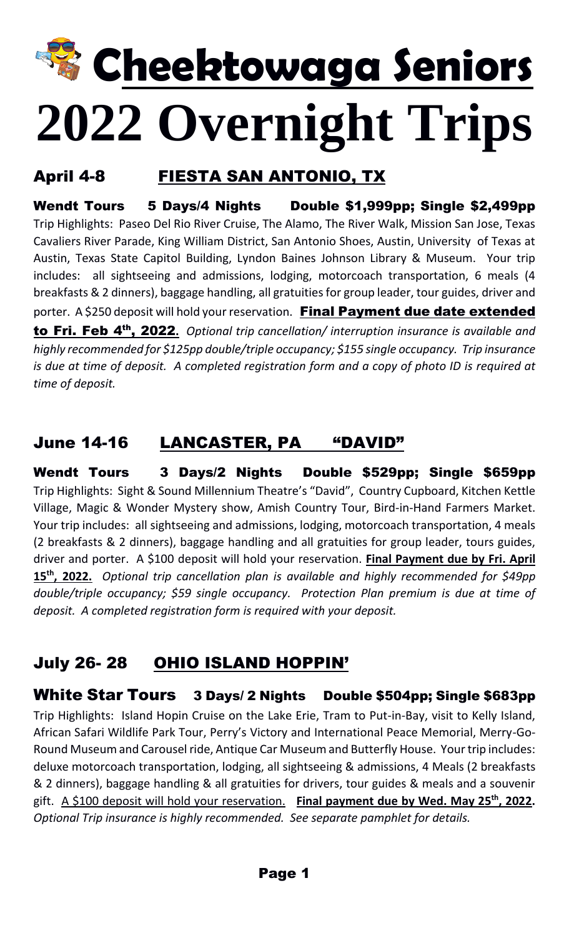# **Cheektowaga Seniors 2022 Overnight Trips**

# April 4-8 FIESTA SAN ANTONIO, TX

Wendt Tours 5 Days/4 Nights Double \$1,999pp; Single \$2,499pp Trip Highlights: Paseo Del Rio River Cruise, The Alamo, The River Walk, Mission San Jose, Texas Cavaliers River Parade, King William District, San Antonio Shoes, Austin, University of Texas at Austin, Texas State Capitol Building, Lyndon Baines Johnson Library & Museum. Your trip includes: all sightseeing and admissions, lodging, motorcoach transportation, 6 meals (4 breakfasts & 2 dinners), baggage handling, all gratuities for group leader, tour guides, driver and porter. A \$250 deposit will hold your reservation. Final Payment due date extended to Fri. Feb 4th, 2022**.** *Optional trip cancellation/ interruption insurance is available and highly recommended for \$125pp double/triple occupancy; \$155 single occupancy. Trip insurance is due at time of deposit. A completed registration form and a copy of photo ID is required at time of deposit.*

# June 14-16 LANCASTER, PA "DAVID"

Wendt Tours 3 Days/2 Nights Double \$529pp; Single \$659pp Trip Highlights: Sight & Sound Millennium Theatre's "David", Country Cupboard, Kitchen Kettle Village, Magic & Wonder Mystery show, Amish Country Tour, Bird-in-Hand Farmers Market. Your trip includes: all sightseeing and admissions, lodging, motorcoach transportation, 4 meals (2 breakfasts & 2 dinners), baggage handling and all gratuities for group leader, tours guides, driver and porter. A \$100 deposit will hold your reservation. **Final Payment due by Fri. April 15 th, 2022.** *Optional trip cancellation plan is available and highly recommended for \$49pp double/triple occupancy; \$59 single occupancy. Protection Plan premium is due at time of deposit. A completed registration form is required with your deposit.* 

# July 26- 28 OHIO ISLAND HOPPIN'

#### White Star Tours 3 Days/ 2 Nights Double \$504pp; Single \$683pp

Trip Highlights: Island Hopin Cruise on the Lake Erie, Tram to Put-in-Bay, visit to Kelly Island, African Safari Wildlife Park Tour, Perry's Victory and International Peace Memorial, Merry-Go-Round Museum and Carousel ride, Antique Car Museum and Butterfly House. Your trip includes: deluxe motorcoach transportation, lodging, all sightseeing & admissions, 4 Meals (2 breakfasts & 2 dinners), baggage handling & all gratuities for drivers, tour guides & meals and a souvenir gift. A \$100 deposit will hold your reservation. **Final payment due by Wed. May 25th, 2022.**  *Optional Trip insurance is highly recommended. See separate pamphlet for details.*